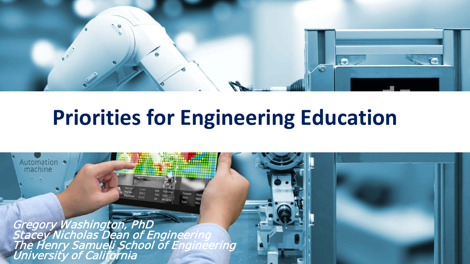

## **Priorities for Engineering Education**

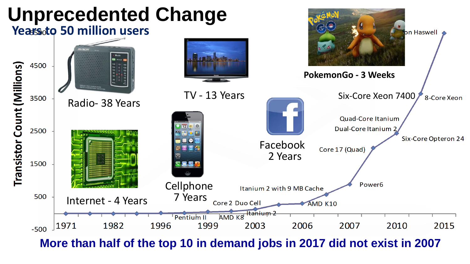

**More than half of the top 10 in demand jobs in 2017 did not exist in 2007**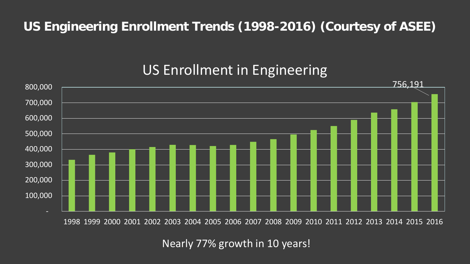#### **US Engineering Enrollment Trends (1998-2016) (Courtesy of ASEE)**

### US Enrollment in Engineering



1998 1999 2000 2001 2002 2003 2004 2005 2006 2007 2008 2009 2010 2011 2012 2013 2014 2015 2016

Nearly 77% growth in 10 years!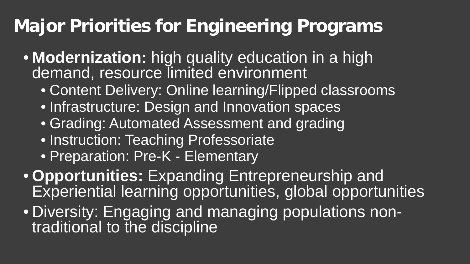### **Major Priorities for Engineering Programs**

- **Modernization:** high quality education in a high demand, resource limited environment
	- Content Delivery: Online learning/Flipped classrooms
	- Infrastructure: Design and Innovation spaces
	- Grading: Automated Assessment and grading
	- Instruction: Teaching Professoriate
	- Preparation: Pre-K Elementary
- **Opportunities:** Expanding Entrepreneurship and Experiential learning opportunities, global opportunities
- Diversity: Engaging and managing populations non-<br>traditional to the discipline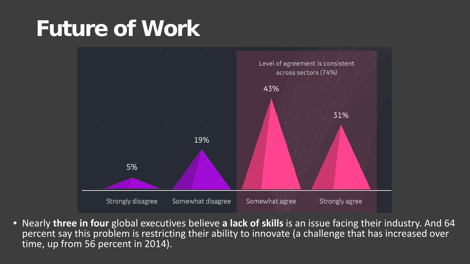# **Future of Work**



• Nearly **three in four** global executives believe **a lack of skills** is an issue facing their industry. And 64 percent say this problem is restricting their ability to innovate (a challenge that has increased over time, up from 56 percent in 2014).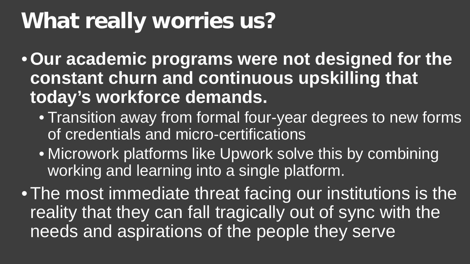# **What really worries us?**

•**Our academic programs were not designed for the constant churn and continuous upskilling that today's workforce demands.**

- Transition away from formal four-year degrees to new forms of credentials and micro-certifications
- Microwork platforms like Upwork solve this by combining working and learning into a single platform.

•The most immediate threat facing our institutions is the reality that they can fall tragically out of sync with the needs and aspirations of the people they serve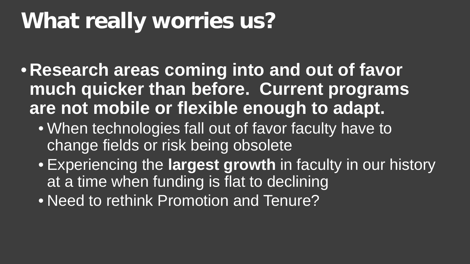# **What really worries us?**

- **Research areas coming into and out of favor much quicker than before. Current programs are not mobile or flexible enough to adapt.** 
	- When technologies fall out of favor faculty have to change fields or risk being obsolete
	- Experiencing the **largest growth** in faculty in our history at a time when funding is flat to declining
	- Need to rethink Promotion and Tenure?